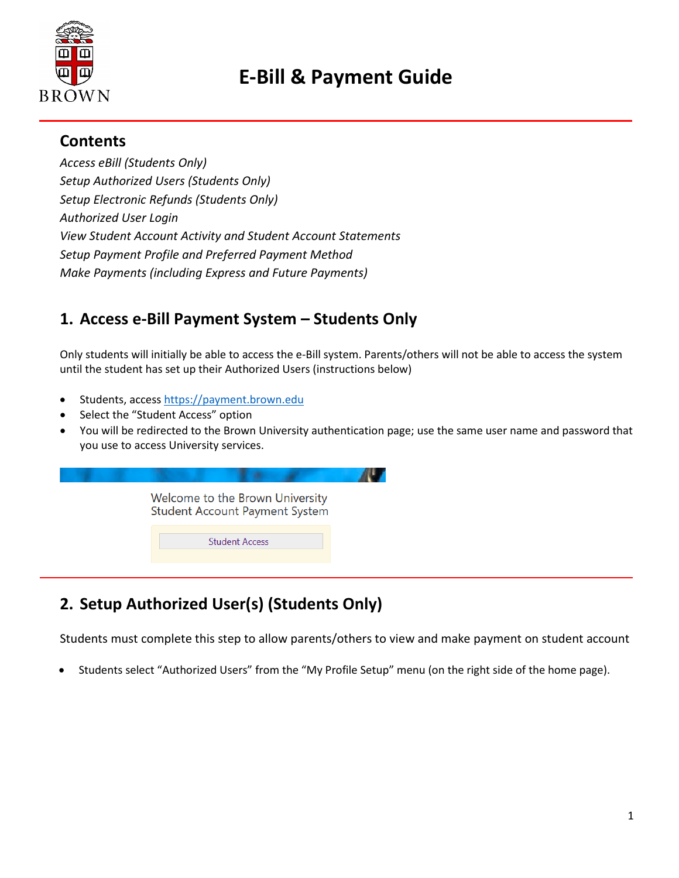

# **E-Bill & Payment Guide**

#### **Contents**

*Access eBill (Students Only) Setup Authorized Users (Students Only) Setup Electronic Refunds (Students Only) Authorized User Login View Student Account Activity and Student Account Statements Setup Payment Profile and Preferred Payment Method Make Payments (including Express and Future Payments)*

### **1. Access e-Bill Payment System – Students Only**

Only students will initially be able to access the e-Bill system. Parents/others will not be able to access the system until the student has set up their Authorized Users (instructions below)

- Students, access [https://payment.brown.edu](https://payment.brown.edu/)
- Select the "Student Access" option
- You will be redirected to the Brown University authentication page; use the same user name and password that you use to access University services.



# **2. Setup Authorized User(s) (Students Only)**

Students must complete this step to allow parents/others to view and make payment on student account

• Students select "Authorized Users" from the "My Profile Setup" menu (on the right side of the home page).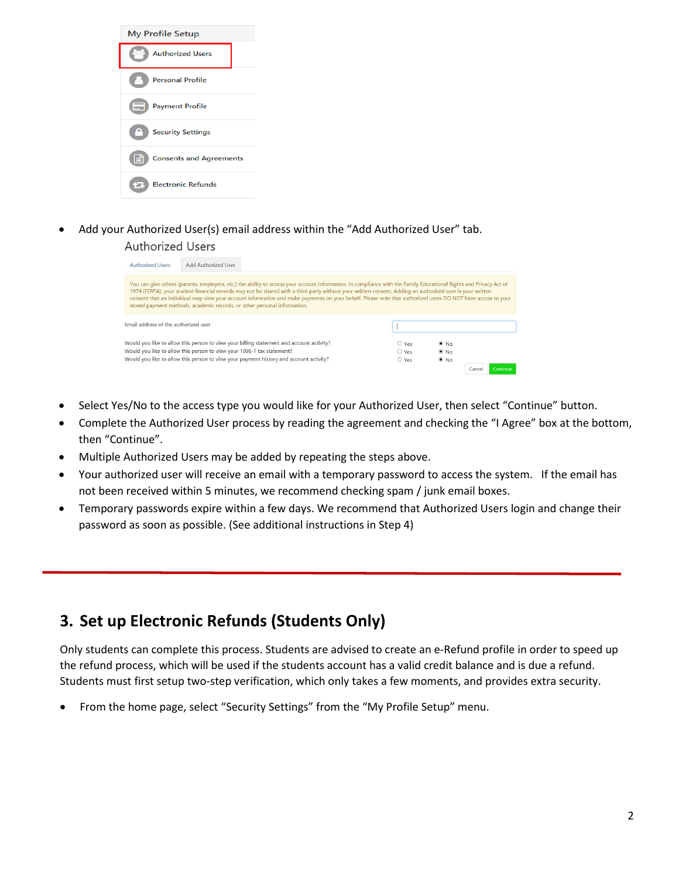

• Add your Authorized User(s) email address within the "Add Authorized User" tab. **Authorized Users** 

| <b>Authorized Users</b>                                                                                                                                                                                                                                      | Add Authorized User                                                      |                                                                                                                                                                                                                                                                                                                                                                                                                                                                                                |  |                                          |                                        |       |  |
|--------------------------------------------------------------------------------------------------------------------------------------------------------------------------------------------------------------------------------------------------------------|--------------------------------------------------------------------------|------------------------------------------------------------------------------------------------------------------------------------------------------------------------------------------------------------------------------------------------------------------------------------------------------------------------------------------------------------------------------------------------------------------------------------------------------------------------------------------------|--|------------------------------------------|----------------------------------------|-------|--|
|                                                                                                                                                                                                                                                              | stored payment methods, academic records, or other personal information. | You can give others (parents, employers, etc.) the ability to access your account information. In compliance with the Family Educational Rights and Privacy Act of<br>1974 (FERPA), your student financial records may not be shared with a third party without your written consent. Adding an authorized user is your written<br>consent that an individual may view your account information and make payments on your behalf. Please note that authorized users DO NOT have access to your |  |                                          |                                        |       |  |
| Email address of the authorized user                                                                                                                                                                                                                         |                                                                          |                                                                                                                                                                                                                                                                                                                                                                                                                                                                                                |  |                                          |                                        |       |  |
| Would you like to allow this person to view your billing statement and account activity?<br>Would you like to allow this person to view your 1098-T tax statement?<br>Would you like to allow this person to view your payment history and account activity? |                                                                          |                                                                                                                                                                                                                                                                                                                                                                                                                                                                                                |  | $\circ$ Yes<br>$\bigcirc$ Yes<br>$O$ Yes | $\odot$ No<br>$\odot$ No<br>$\odot$ No |       |  |
|                                                                                                                                                                                                                                                              |                                                                          |                                                                                                                                                                                                                                                                                                                                                                                                                                                                                                |  |                                          |                                        | Cance |  |

- Select Yes/No to the access type you would like for your Authorized User, then select "Continue" button.
- Complete the Authorized User process by reading the agreement and checking the "I Agree" box at the bottom, then "Continue".
- Multiple Authorized Users may be added by repeating the steps above.
- Your authorized user will receive an email with a temporary password to access the system. If the email has not been received within 5 minutes, we recommend checking spam / junk email boxes.
- Temporary passwords expire within a few days. We recommend that Authorized Users login and change their password as soon as possible. (See additional instructions in Step 4)

#### **3. Set up Electronic Refunds (Students Only)**

Only students can complete this process. Students are advised to create an e-Refund profile in order to speed up the refund process, which will be used if the students account has a valid credit balance and is due a refund. Students must first setup two-step verification, which only takes a few moments, and provides extra security.

• From the home page, select "Security Settings" from the "My Profile Setup" menu.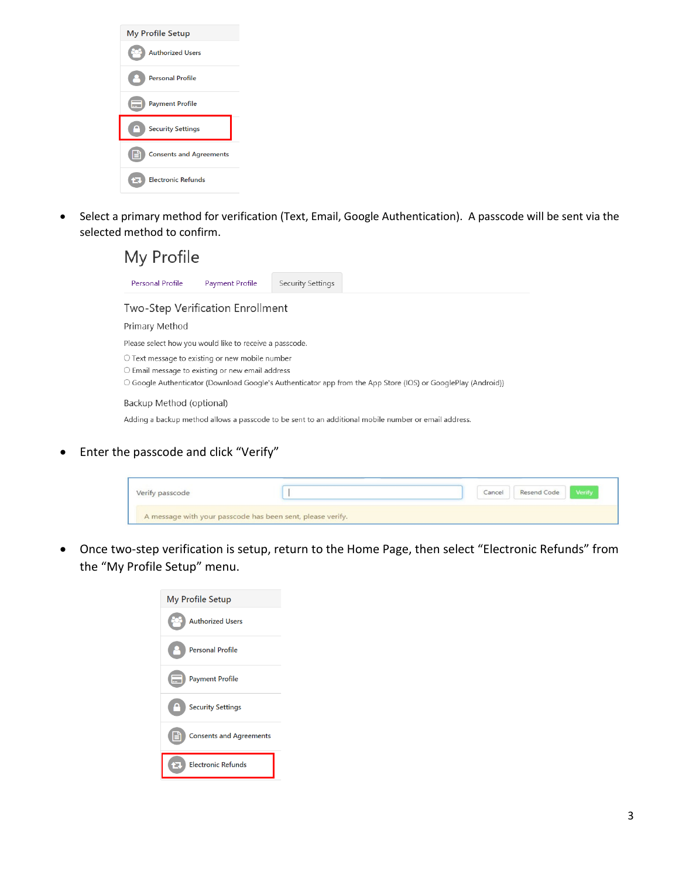

• Select a primary method for verification (Text, Email, Google Authentication). A passcode will be sent via the selected method to confirm.



• Enter the passcode and click "Verify"

| Verify passcode                                            | Cancel | Resend Code | Verify |
|------------------------------------------------------------|--------|-------------|--------|
| A message with your passcode has been sent, please verify. |        |             |        |

• Once two-step verification is setup, return to the Home Page, then select "Electronic Refunds" from the "My Profile Setup" menu.

| My Profile Setup               |
|--------------------------------|
| <b>Authorized Users</b>        |
| <b>Personal Profile</b>        |
| <b>Payment Profile</b>         |
| <b>Security Settings</b>       |
| <b>Consents and Agreements</b> |
| <b>Electronic Refunds</b><br>æ |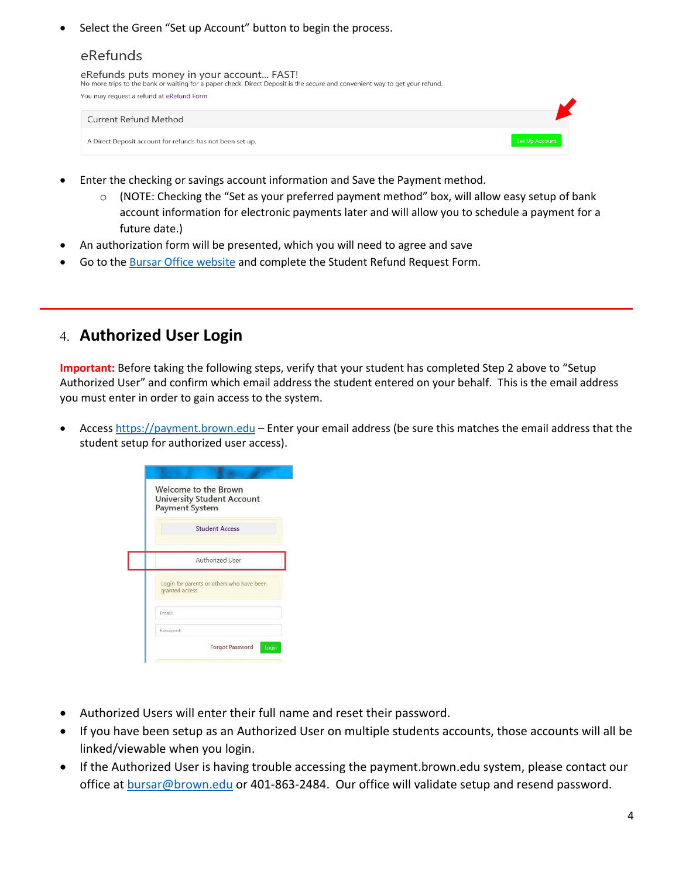Select the Green "Set up Account" button to begin the process.

#### eRefunds

| eRefunds puts money in your account FAST!<br>No more trips to the bank or waiting for a paper check. Direct Deposit is the secure and convenient way to get your refund. |  |
|--------------------------------------------------------------------------------------------------------------------------------------------------------------------------|--|
| You may request a refund at eRefund Form                                                                                                                                 |  |

| Current Refund Method                                     |                |
|-----------------------------------------------------------|----------------|
| A Direct Deposit account for refunds has not been set up. | Set Up Account |

- Enter the checking or savings account information and Save the Payment method.
	- $\circ$  (NOTE: Checking the "Set as your preferred payment method" box, will allow easy setup of bank account information for electronic payments later and will allow you to schedule a payment for a future date.)
- An authorization form will be presented, which you will need to agree and save
- Go to th[e Bursar Office website](https://www.brown.edu/about/administration/bursar/policies) and complete the Student Refund Request Form.

#### 4. **Authorized User Login**

**Important:** Before taking the following steps, verify that your student has completed Step 2 above to "Setup Authorized User" and confirm which email address the student entered on your behalf. This is the email address you must enter in order to gain access to the system.

Access [https://payment.brown.edu](https://payment.brown.edu/) – Enter your email address (be sure this matches the email address that the student setup for authorized user access).

|                 | Welcome to the Brown<br><b>University Student Account</b><br><b>Payment System</b> |  |
|-----------------|------------------------------------------------------------------------------------|--|
|                 | <b>Student Access</b>                                                              |  |
|                 | Authorized User                                                                    |  |
| granted access. | Login for parents or others who have been                                          |  |
| <b>Email:</b>   |                                                                                    |  |
| Password:       |                                                                                    |  |

- Authorized Users will enter their full name and reset their password.
- If you have been setup as an Authorized User on multiple students accounts, those accounts will all be linked/viewable when you login.
- If the Authorized User is having trouble accessing the payment.brown.edu system, please contact our office a[t bursar@brown.edu](mailto:bursar@brown.edu) or 401-863-2484. Our office will validate setup and resend password.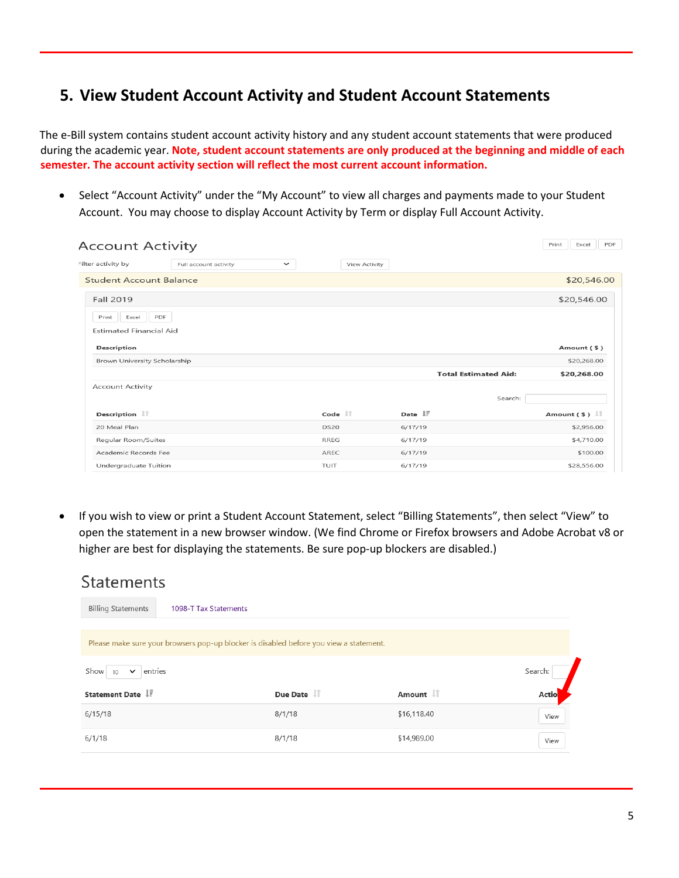### **5. View Student Account Activity and Student Account Statements**

The e-Bill system contains student account activity history and any student account statements that were produced during the academic year. **Note, student account statements are only produced at the beginning and middle of each semester. The account activity section will reflect the most current account information.**

• Select "Account Activity" under the "My Account" to view all charges and payments made to your Student Account. You may choose to display Account Activity by Term or display Full Account Activity.

| <b>Account Activity</b>                          |                       |             |                   |                               |                             | PDF<br>Print<br>Excel                     |
|--------------------------------------------------|-----------------------|-------------|-------------------|-------------------------------|-----------------------------|-------------------------------------------|
| Filter activity by                               | Full account activity | $\check{ }$ | View Activity     |                               |                             |                                           |
| <b>Student Account Balance</b>                   |                       |             |                   |                               |                             | \$20,546.00                               |
| Fall 2019                                        |                       |             |                   |                               |                             | \$20,546.00                               |
| Excel<br>Print<br><b>Estimated Financial Aid</b> | PDF                   |             |                   |                               |                             |                                           |
| Description                                      |                       |             |                   |                               |                             | Amount (\$)                               |
| Brown University Scholarship                     |                       |             |                   |                               |                             | \$20,268.00                               |
|                                                  |                       |             |                   |                               | <b>Total Estimated Aid:</b> | \$20,268.00                               |
| <b>Account Activity</b>                          |                       |             |                   |                               | Search:                     |                                           |
| Description $\ \cdot\ $                          |                       |             | Code $\mathbb{H}$ | Date $\downarrow \frac{1}{2}$ |                             | Amount $($ \$ $)$ $\downarrow$ $\uparrow$ |
| 20 Meal Plan                                     |                       |             | <b>DS20</b>       | 6/17/19                       |                             | \$2,956.00                                |
| Regular Room/Suites                              |                       |             | <b>RREG</b>       | 6/17/19                       |                             | \$4,710.00                                |
| Academic Records Fee                             |                       |             | AREC              | 6/17/19                       |                             | \$100.00                                  |
| Undergraduate Tuition                            |                       |             | TUIT              | 6/17/19                       |                             | \$28,556.00                               |

• If you wish to view or print a Student Account Statement, select "Billing Statements", then select "View" to open the statement in a new browser window. (We find Chrome or Firefox browsers and Adobe Acrobat v8 or higher are best for displaying the statements. Be sure pop-up blockers are disabled.)

#### **Statements Billing Statements** 1098-T Tax Statements Please make sure your browsers pop-up blocker is disabled before you view a statement. Show 10  $\vee$  entries Search: Statement Date JF Due Date IT Amount IT Actio  $6/15/18$  $8/1/18$ \$16,118.40 View  $6/1/18$ \$14,989.00  $8/1/18$ View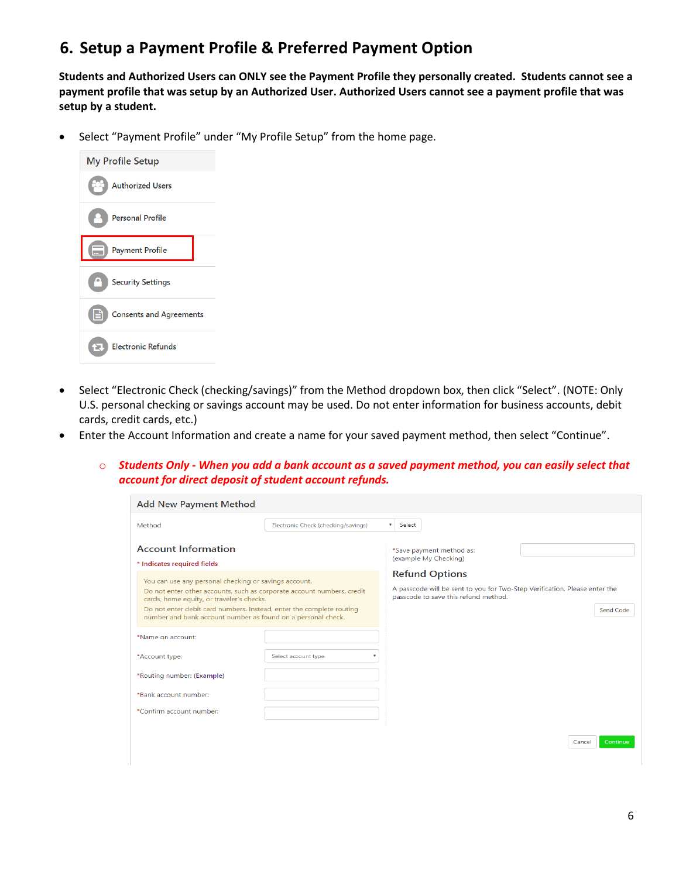#### **6. Setup a Payment Profile & Preferred Payment Option**

**Students and Authorized Users can ONLY see the Payment Profile they personally created. Students cannot see a payment profile that was setup by an Authorized User. Authorized Users cannot see a payment profile that was setup by a student.** 

• Select "Payment Profile" under "My Profile Setup" from the home page.



- Select "Electronic Check (checking/savings)" from the Method dropdown box, then click "Select". (NOTE: Only U.S. personal checking or savings account may be used. Do not enter information for business accounts, debit cards, credit cards, etc.)
- Enter the Account Information and create a name for your saved payment method, then select "Continue".
	- o *Students Only - When you add a bank account as a saved payment method, you can easily select that account for direct deposit of student account refunds.*

| <b>Add New Payment Method</b>                                                                                                                                                                                                                                                                                        |                                                |                                                                                                                                                                 |
|----------------------------------------------------------------------------------------------------------------------------------------------------------------------------------------------------------------------------------------------------------------------------------------------------------------------|------------------------------------------------|-----------------------------------------------------------------------------------------------------------------------------------------------------------------|
| Method                                                                                                                                                                                                                                                                                                               | Electronic Check (checking/savings)            | $\overline{\mathbf{v}}$<br>Select                                                                                                                               |
| <b>Account Information</b><br>* Indicates required fields                                                                                                                                                                                                                                                            |                                                | *Save payment method as:<br>(example My Checking)                                                                                                               |
| You can use any personal checking or savings account.<br>Do not enter other accounts, such as corporate account numbers, credit<br>cards, home equity, or traveler's checks.<br>Do not enter debit card numbers. Instead, enter the complete routing<br>number and bank account number as found on a personal check. |                                                | <b>Refund Options</b><br>A passcode will be sent to you for Two-Step Verification. Please enter the<br>passcode to save this refund method.<br><b>Send Code</b> |
| *Name on account:                                                                                                                                                                                                                                                                                                    |                                                |                                                                                                                                                                 |
| *Account type:                                                                                                                                                                                                                                                                                                       | Select account type<br>$\overline{\mathbf{v}}$ |                                                                                                                                                                 |
| *Routing number: (Example)                                                                                                                                                                                                                                                                                           |                                                |                                                                                                                                                                 |
| *Bank account number:                                                                                                                                                                                                                                                                                                |                                                |                                                                                                                                                                 |
| *Confirm account number:                                                                                                                                                                                                                                                                                             |                                                |                                                                                                                                                                 |
|                                                                                                                                                                                                                                                                                                                      |                                                | Continue<br>Cancel                                                                                                                                              |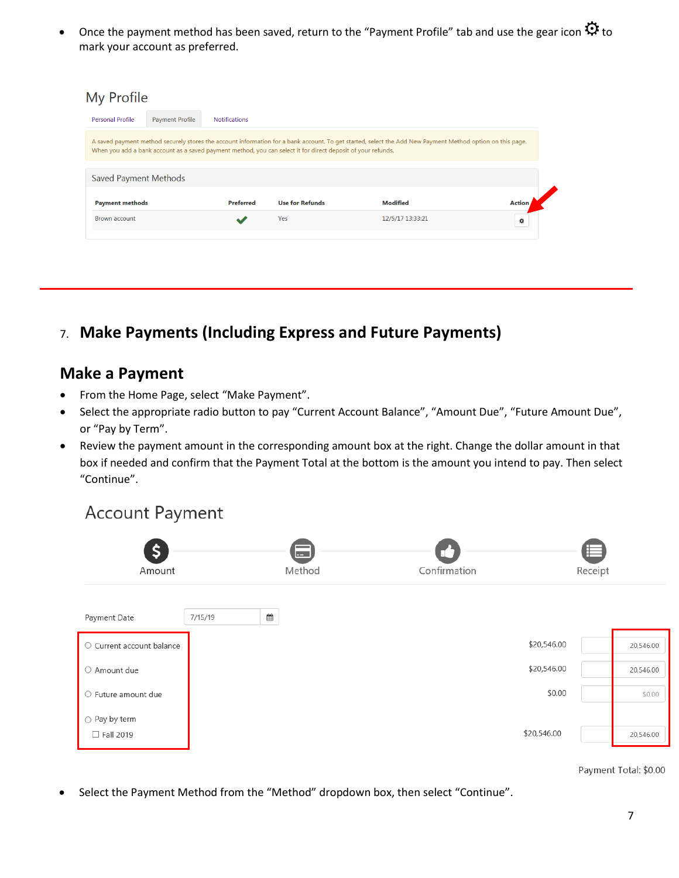Once the payment method has been saved, return to the "Payment Profile" tab and use the gear icon  $\mathfrak G$  to mark your account as preferred.

| My Profile                                                                                                                                                                                                                                                                |                        |                      |                        |                  |               |  |
|---------------------------------------------------------------------------------------------------------------------------------------------------------------------------------------------------------------------------------------------------------------------------|------------------------|----------------------|------------------------|------------------|---------------|--|
| <b>Personal Profile</b>                                                                                                                                                                                                                                                   | <b>Payment Profile</b> | <b>Notifications</b> |                        |                  |               |  |
| A saved payment method securely stores the account information for a bank account. To get started, select the Add New Payment Method option on this page.<br>When you add a bank account as a saved payment method, you can select it for direct deposit of your refunds. |                        |                      |                        |                  |               |  |
| <b>Saved Payment Methods</b>                                                                                                                                                                                                                                              |                        |                      |                        |                  |               |  |
| <b>Payment methods</b>                                                                                                                                                                                                                                                    |                        | <b>Preferred</b>     | <b>Use for Refunds</b> | <b>Modified</b>  | <b>Action</b> |  |
| <b>Brown account</b>                                                                                                                                                                                                                                                      |                        |                      | Yes                    | 12/5/17 13:33:21 | ۰             |  |
|                                                                                                                                                                                                                                                                           |                        |                      |                        |                  |               |  |

7. **Make Payments (Including Express and Future Payments)**

#### **Make a Payment**

- From the Home Page, select "Make Payment".
- Select the appropriate radio button to pay "Current Account Balance", "Amount Due", "Future Amount Due", or "Pay by Term".
- Review the payment amount in the corresponding amount box at the right. Change the dollar amount in that box if needed and confirm that the Payment Total at the bottom is the amount you intend to pay. Then select "Continue".

# **Account Payment**



Payment Total: \$0.00

• Select the Payment Method from the "Method" dropdown box, then select "Continue".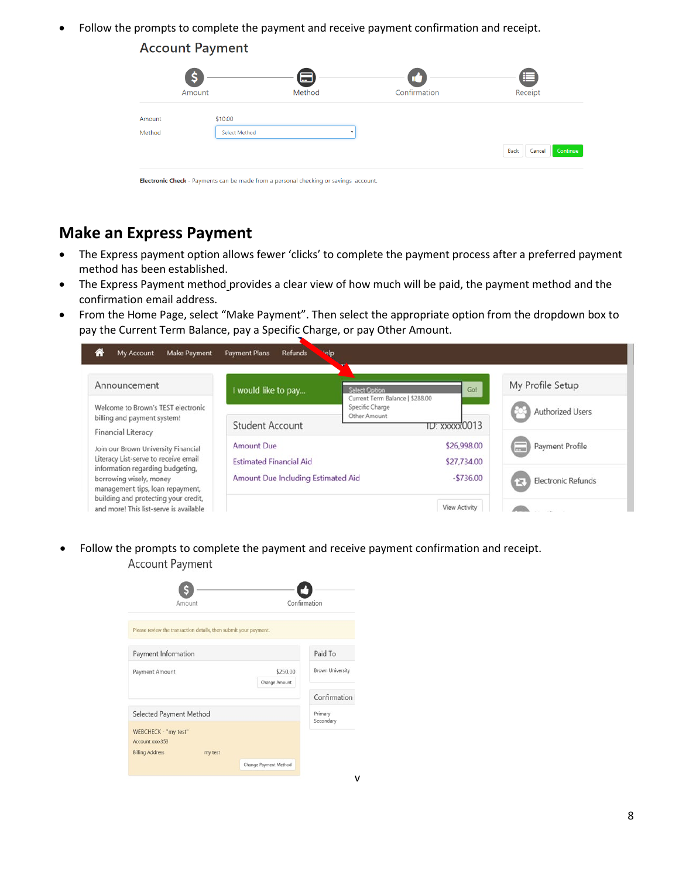• Follow the prompts to complete the payment and receive payment confirmation and receipt.

#### **Account Payment**

|        | S<br>Amount   | 曰<br>Method | Confirmation | Æ<br>Receipt               |
|--------|---------------|-------------|--------------|----------------------------|
|        |               |             |              |                            |
| Amount | \$10.00       |             |              |                            |
| Method | Select Method | ٠           |              |                            |
|        |               |             |              | Continue<br>Back<br>Cancel |

# **Make an Express Payment**

- The Express payment option allows fewer 'clicks' to complete the payment process after a preferred payment method has been established.
- The Express Payment method provides a clear view of how much will be paid, the payment method and the confirmation email address.
- From the Home Page, select "Make Payment". Then select the appropriate option from the dropdown box to pay the Current Term Balance, pay a Specific Charge, or pay Other Amount.

| Make Payment<br>My Account<br>合                                                                                 | <b>Melp</b><br><b>Payment Plans</b><br><b>Refunds</b> |                                                                                   |                                |
|-----------------------------------------------------------------------------------------------------------------|-------------------------------------------------------|-----------------------------------------------------------------------------------|--------------------------------|
| Announcement<br>Welcome to Brown's TEST electronic                                                              | I would like to pay                                   | Gol<br><b>Select Option</b><br>Current Term Balance   \$288.00<br>Specific Charge | My Profile Setup               |
| billing and payment system!<br><b>Financial Literacy</b>                                                        | <b>Student Account</b>                                | Other Amount<br>TD: xxxxx0013                                                     | <b>Authorized Users</b>        |
| Join our Brown University Financial<br>Literacy List-serve to receive email<br>information regarding budgeting, | <b>Amount Due</b><br><b>Estimated Financial Aid</b>   | \$26,998.00<br>\$27,734.00                                                        | Payment Profile<br><b>FPSI</b> |
| borrowing wisely, money<br>management tips, loan repayment,<br>building and protecting your credit,             | Amount Due Including Estimated Aid                    | $-5736.00$                                                                        | <b>Electronic Refunds</b><br>≽ |
| and more! This list-serve is available                                                                          |                                                       | View Activity                                                                     |                                |

v

• Follow the prompts to complete the payment and receive payment confirmation and receipt. **Account Payment** 

| Amount                                                                       | Confirmation              |                         |
|------------------------------------------------------------------------------|---------------------------|-------------------------|
| Please review the transaction details, then submit your payment.             |                           |                         |
| Payment Information                                                          |                           | Paid To                 |
| Payment Amount                                                               | \$250.00<br>Change Amount | <b>Brown University</b> |
|                                                                              |                           | Confirmation            |
| Selected Payment Method                                                      |                           | Primary<br>Secondary    |
| WEBCHECK - "my test"<br>Account xxxx353<br><b>Billing Address</b><br>my test |                           |                         |
|                                                                              | Change Payment Method     |                         |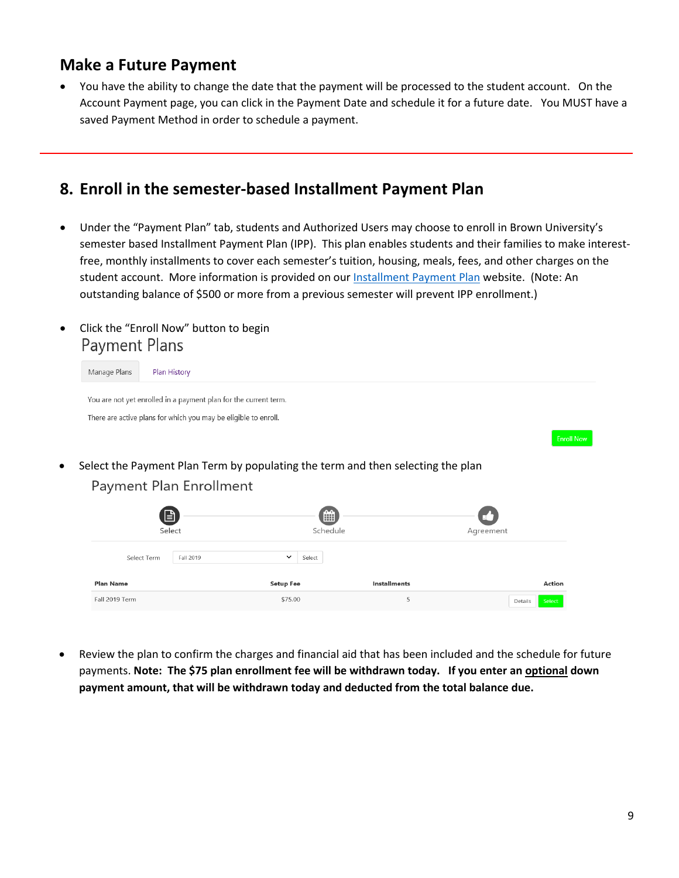#### **Make a Future Payment**

• You have the ability to change the date that the payment will be processed to the student account. On the Account Payment page, you can click in the Payment Date and schedule it for a future date. You MUST have a saved Payment Method in order to schedule a payment.

#### **8. Enroll in the semester-based Installment Payment Plan**

- Under the "Payment Plan" tab, students and Authorized Users may choose to enroll in Brown University's semester based [Installment Payment Plan](https://payment.brown.edu/) (IPP). This plan enables students and their families to make interestfree, monthly installments to cover each semester's tuition, housing, meals, fees, and other charges on the student account. More information is provided on ou[r Installment Payment Plan](https://www.brown.edu/about/administration/bursar/installment-payment-plan) website. (Note: An outstanding balance of \$500 or more from a previous semester will prevent IPP enrollment.)
- Click the "Enroll Now" button to begin **Payment Plans**

| Manage Plans     | Plan History                                                     |                                                                                 |                     |           |                   |
|------------------|------------------------------------------------------------------|---------------------------------------------------------------------------------|---------------------|-----------|-------------------|
|                  | You are not yet enrolled in a payment plan for the current term. |                                                                                 |                     |           |                   |
|                  | There are active plans for which you may be eligible to enroll.  |                                                                                 |                     |           |                   |
|                  |                                                                  |                                                                                 |                     |           | <b>Enroll Now</b> |
|                  |                                                                  | Select the Payment Plan Term by populating the term and then selecting the plan |                     |           |                   |
|                  | Payment Plan Enrollment                                          |                                                                                 |                     |           |                   |
|                  |                                                                  |                                                                                 |                     |           |                   |
|                  | 囼                                                                | ∰                                                                               |                     |           |                   |
|                  | Select                                                           | Schedule                                                                        |                     | Agreement |                   |
| Select Term      | Fall 2019                                                        | $\checkmark$<br>Select                                                          |                     |           |                   |
| <b>Plan Name</b> |                                                                  | <b>Setup Fee</b>                                                                | <b>Installments</b> |           | <b>Action</b>     |
| Fall 2019 Term   |                                                                  | \$75.00                                                                         | 5                   | Details   | Select            |

• Review the plan to confirm the charges and financial aid that has been included and the schedule for future payments. **Note: The \$75 plan enrollment fee will be withdrawn today. If you enter an optional down payment amount, that will be withdrawn today and deducted from the total balance due.**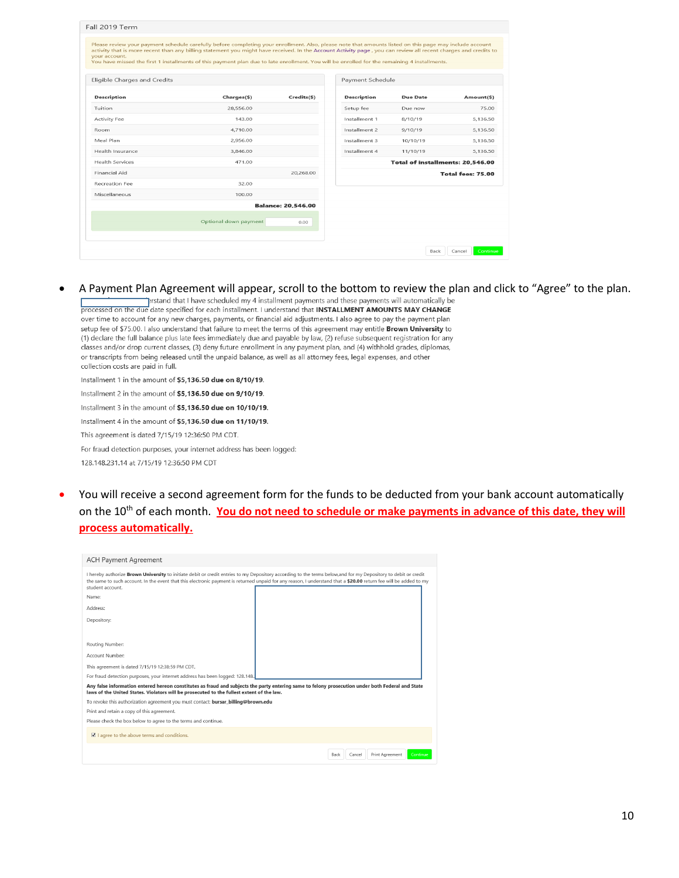| your account.                | activity that is more recent than any billing statement you might have received. In the Account Activity page, you can review all recent charges and credits to<br>You have missed the first 1 installments of this payment plan due to late enrollment. You will be enrolled for the remaining 4 installments. |                           |                    |                                  |                   |
|------------------------------|-----------------------------------------------------------------------------------------------------------------------------------------------------------------------------------------------------------------------------------------------------------------------------------------------------------------|---------------------------|--------------------|----------------------------------|-------------------|
| Eligible Charges and Credits |                                                                                                                                                                                                                                                                                                                 |                           | Payment Schedule   |                                  |                   |
| <b>Description</b>           | Charges(\$)                                                                                                                                                                                                                                                                                                     | Credits(\$)               | <b>Description</b> | Due Date                         | Amount(\$)        |
| Tuition                      | 28,556.00                                                                                                                                                                                                                                                                                                       |                           | Setup fee          | Due now                          | 75.00             |
| Activity Fee                 | 143.00                                                                                                                                                                                                                                                                                                          |                           | Installment 1      | 8/10/19                          | 5.136.50          |
| <b>Room</b>                  | 4.710.00                                                                                                                                                                                                                                                                                                        |                           | Installment 2      | 9/10/19                          | 5,136.50          |
| Meal Plan                    | 2.956.00                                                                                                                                                                                                                                                                                                        |                           | Installment 3      | 10/10/19                         | 5.136.50          |
| Health Insurance             | 3,846.00                                                                                                                                                                                                                                                                                                        |                           | Installment 4      | 11/10/19                         | 5,136.50          |
| <b>Health Services</b>       | 471.00                                                                                                                                                                                                                                                                                                          |                           |                    | Total of installments: 20,546.00 |                   |
| Financial Aid                |                                                                                                                                                                                                                                                                                                                 | 20,268.00                 |                    |                                  | Total fees: 75.00 |
| Recreation Fee               | 32.00                                                                                                                                                                                                                                                                                                           |                           |                    |                                  |                   |
| Miscellaneous                | 100.00                                                                                                                                                                                                                                                                                                          |                           |                    |                                  |                   |
|                              |                                                                                                                                                                                                                                                                                                                 | <b>Balance: 20.546.00</b> |                    |                                  |                   |
|                              | Optional down payment                                                                                                                                                                                                                                                                                           | 0.00                      |                    |                                  |                   |

A Payment Plan Agreement will appear, scroll to the bottom to review the plan and click to "Agree" to the plan.<br>
Firstand that I have scheduled my 4 installment payments and these payments will automatically be<br>
processed

over time to account for any new charges, payments, or financial aid adjustments. I also agree to pay the payment plan setup fee of \$75.00. I also understand that failure to meet the terms of this agreement may entitle Brown University to (1) declare the full balance plus late fees immediately due and payable by law, (2) refuse subsequent registration for any classes and/or drop current classes, (3) deny future enrollment in any payment plan, and (4) withhold grades, diplomas, or transcripts from being released until the unpaid balance, as well as all attorney fees, legal expenses, and other collection costs are paid in full.

Installment 1 in the amount of \$5,136.50 due on 8/10/19.

Installment 2 in the amount of \$5.136.50 due on 9/10/19.

Installment 3 in the amount of \$5,136.50 due on 10/10/19.

Installment 4 in the amount of \$5,136.50 due on 11/10/19. This agreement is dated 7/15/19 12:36:50 PM CDT.

For fraud detection purposes, your internet address has been logged:

128.148.231.14 at 7/15/19 12:36:50 PM CDT

• You will receive a second agreement form for the funds to be deducted from your bank account automatically on the 10<sup>th</sup> of each month. You do not need to schedule or make payments in advance of this date, they will **process automatically.**

| <b>ACH Payment Agreement</b>                                                                                                                                                                                                                                                                                                                                    |                                               |  |  |  |  |
|-----------------------------------------------------------------------------------------------------------------------------------------------------------------------------------------------------------------------------------------------------------------------------------------------------------------------------------------------------------------|-----------------------------------------------|--|--|--|--|
| I hereby authorize <b>Brown University</b> to initiate debit or credit entries to my Depository according to the terms below, and for my Depository to debit or credit<br>the same to such account. In the event that this electronic payment is returned unpaid for any reason, I understand that a \$20.00 return fee will be added to my<br>student account. |                                               |  |  |  |  |
| Name:                                                                                                                                                                                                                                                                                                                                                           |                                               |  |  |  |  |
| Address:                                                                                                                                                                                                                                                                                                                                                        |                                               |  |  |  |  |
| Depository:                                                                                                                                                                                                                                                                                                                                                     |                                               |  |  |  |  |
|                                                                                                                                                                                                                                                                                                                                                                 |                                               |  |  |  |  |
| Routing Number:                                                                                                                                                                                                                                                                                                                                                 |                                               |  |  |  |  |
| Account Number:                                                                                                                                                                                                                                                                                                                                                 |                                               |  |  |  |  |
| This agreement is dated 7/15/19 12:38:59 PM CDT.                                                                                                                                                                                                                                                                                                                |                                               |  |  |  |  |
| For fraud detection purposes, your internet address has been logged: 128.148.                                                                                                                                                                                                                                                                                   |                                               |  |  |  |  |
| Any false information entered hereon constitutes as fraud and subjects the party entering same to felony prosecution under both Federal and State<br>laws of the United States. Violators will be prosecuted to the fullest extent of the law.                                                                                                                  |                                               |  |  |  |  |
| To revoke this authorization agreement you must contact: bursar_billing@brown.edu                                                                                                                                                                                                                                                                               |                                               |  |  |  |  |
| Print and retain a copy of this agreement.                                                                                                                                                                                                                                                                                                                      |                                               |  |  |  |  |
| Please check the box below to agree to the terms and continue.                                                                                                                                                                                                                                                                                                  |                                               |  |  |  |  |
| $\blacksquare$ I agree to the above terms and conditions.                                                                                                                                                                                                                                                                                                       |                                               |  |  |  |  |
|                                                                                                                                                                                                                                                                                                                                                                 | Print Agreement<br>Continue<br>Back<br>Cancel |  |  |  |  |